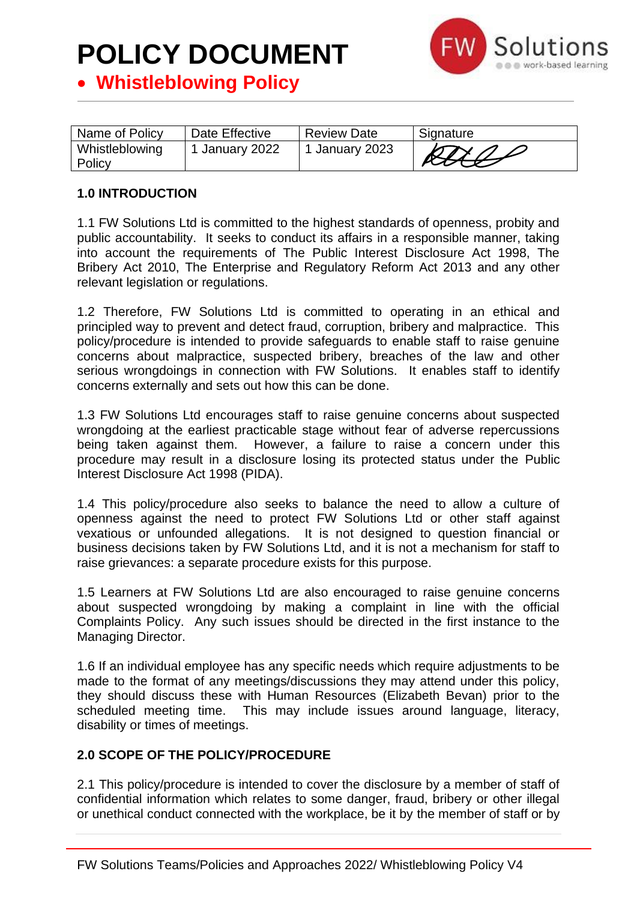

• **Whistleblowing Policy**

| Name of Policy           | Date Effective | <b>Review Date</b> | Signature                          |
|--------------------------|----------------|--------------------|------------------------------------|
| Whistleblowing<br>Policy | 1 January 2022 | 1 January 2023     | $\mathcal{L} I \times \mathcal{L}$ |

### **1.0 INTRODUCTION**

1.1 FW Solutions Ltd is committed to the highest standards of openness, probity and public accountability. It seeks to conduct its affairs in a responsible manner, taking into account the requirements of The Public Interest Disclosure Act 1998, The Bribery Act 2010, The Enterprise and Regulatory Reform Act 2013 and any other relevant legislation or regulations.

1.2 Therefore, FW Solutions Ltd is committed to operating in an ethical and principled way to prevent and detect fraud, corruption, bribery and malpractice. This policy/procedure is intended to provide safeguards to enable staff to raise genuine concerns about malpractice, suspected bribery, breaches of the law and other serious wrongdoings in connection with FW Solutions. It enables staff to identify concerns externally and sets out how this can be done.

1.3 FW Solutions Ltd encourages staff to raise genuine concerns about suspected wrongdoing at the earliest practicable stage without fear of adverse repercussions being taken against them. However, a failure to raise a concern under this procedure may result in a disclosure losing its protected status under the Public Interest Disclosure Act 1998 (PIDA).

1.4 This policy/procedure also seeks to balance the need to allow a culture of openness against the need to protect FW Solutions Ltd or other staff against vexatious or unfounded allegations. It is not designed to question financial or business decisions taken by FW Solutions Ltd, and it is not a mechanism for staff to raise grievances: a separate procedure exists for this purpose.

1.5 Learners at FW Solutions Ltd are also encouraged to raise genuine concerns about suspected wrongdoing by making a complaint in line with the official Complaints Policy. Any such issues should be directed in the first instance to the Managing Director.

1.6 If an individual employee has any specific needs which require adjustments to be made to the format of any meetings/discussions they may attend under this policy, they should discuss these with Human Resources (Elizabeth Bevan) prior to the scheduled meeting time. This may include issues around language, literacy, disability or times of meetings.

### **2.0 SCOPE OF THE POLICY/PROCEDURE**

2.1 This policy/procedure is intended to cover the disclosure by a member of staff of confidential information which relates to some danger, fraud, bribery or other illegal or unethical conduct connected with the workplace, be it by the member of staff or by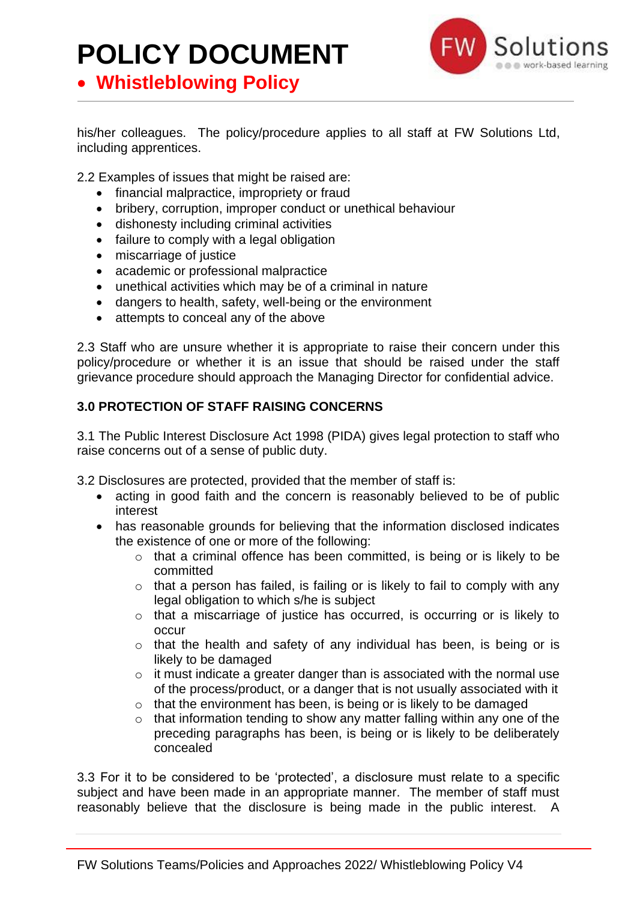• **Whistleblowing Policy**



his/her colleagues. The policy/procedure applies to all staff at FW Solutions Ltd, including apprentices.

2.2 Examples of issues that might be raised are:

- financial malpractice, impropriety or fraud
- bribery, corruption, improper conduct or unethical behaviour
- dishonesty including criminal activities
- failure to comply with a legal obligation
- miscarriage of justice
- academic or professional malpractice
- unethical activities which may be of a criminal in nature
- dangers to health, safety, well-being or the environment
- attempts to conceal any of the above

2.3 Staff who are unsure whether it is appropriate to raise their concern under this policy/procedure or whether it is an issue that should be raised under the staff grievance procedure should approach the Managing Director for confidential advice.

### **3.0 PROTECTION OF STAFF RAISING CONCERNS**

3.1 The Public Interest Disclosure Act 1998 (PIDA) gives legal protection to staff who raise concerns out of a sense of public duty.

3.2 Disclosures are protected, provided that the member of staff is:

- acting in good faith and the concern is reasonably believed to be of public interest
- has reasonable grounds for believing that the information disclosed indicates the existence of one or more of the following:
	- o that a criminal offence has been committed, is being or is likely to be committed
	- $\circ$  that a person has failed, is failing or is likely to fail to comply with any legal obligation to which s/he is subject
	- o that a miscarriage of justice has occurred, is occurring or is likely to occur
	- o that the health and safety of any individual has been, is being or is likely to be damaged
	- $\circ$  it must indicate a greater danger than is associated with the normal use of the process/product, or a danger that is not usually associated with it
	- o that the environment has been, is being or is likely to be damaged
	- $\circ$  that information tending to show any matter falling within any one of the preceding paragraphs has been, is being or is likely to be deliberately concealed

3.3 For it to be considered to be 'protected', a disclosure must relate to a specific subject and have been made in an appropriate manner. The member of staff must reasonably believe that the disclosure is being made in the public interest. A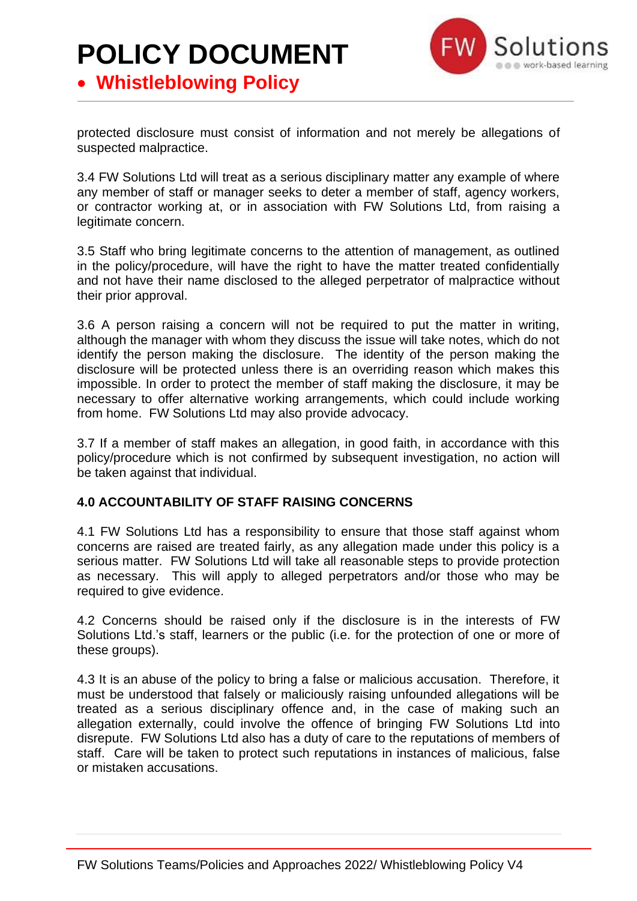## **POLICY DOCUMENT** • **Whistleblowing Policy**



protected disclosure must consist of information and not merely be allegations of suspected malpractice.

3.4 FW Solutions Ltd will treat as a serious disciplinary matter any example of where any member of staff or manager seeks to deter a member of staff, agency workers, or contractor working at, or in association with FW Solutions Ltd, from raising a legitimate concern.

3.5 Staff who bring legitimate concerns to the attention of management, as outlined in the policy/procedure, will have the right to have the matter treated confidentially and not have their name disclosed to the alleged perpetrator of malpractice without their prior approval.

3.6 A person raising a concern will not be required to put the matter in writing, although the manager with whom they discuss the issue will take notes, which do not identify the person making the disclosure. The identity of the person making the disclosure will be protected unless there is an overriding reason which makes this impossible. In order to protect the member of staff making the disclosure, it may be necessary to offer alternative working arrangements, which could include working from home. FW Solutions Ltd may also provide advocacy.

3.7 If a member of staff makes an allegation, in good faith, in accordance with this policy/procedure which is not confirmed by subsequent investigation, no action will be taken against that individual.

### **4.0 ACCOUNTABILITY OF STAFF RAISING CONCERNS**

4.1 FW Solutions Ltd has a responsibility to ensure that those staff against whom concerns are raised are treated fairly, as any allegation made under this policy is a serious matter. FW Solutions Ltd will take all reasonable steps to provide protection as necessary. This will apply to alleged perpetrators and/or those who may be required to give evidence.

4.2 Concerns should be raised only if the disclosure is in the interests of FW Solutions Ltd.'s staff, learners or the public (i.e. for the protection of one or more of these groups).

4.3 It is an abuse of the policy to bring a false or malicious accusation. Therefore, it must be understood that falsely or maliciously raising unfounded allegations will be treated as a serious disciplinary offence and, in the case of making such an allegation externally, could involve the offence of bringing FW Solutions Ltd into disrepute. FW Solutions Ltd also has a duty of care to the reputations of members of staff. Care will be taken to protect such reputations in instances of malicious, false or mistaken accusations.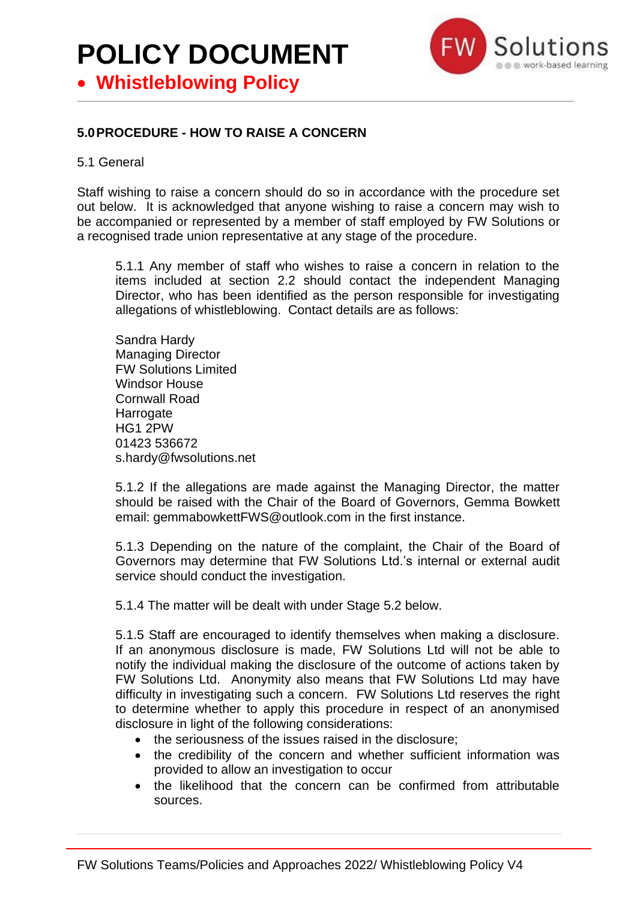## **POLICY DOCUMENT** • **Whistleblowing Policy**



### **5.0PROCEDURE - HOW TO RAISE A CONCERN**

#### 5.1 General

Staff wishing to raise a concern should do so in accordance with the procedure set out below. It is acknowledged that anyone wishing to raise a concern may wish to be accompanied or represented by a member of staff employed by FW Solutions or a recognised trade union representative at any stage of the procedure.

5.1.1 Any member of staff who wishes to raise a concern in relation to the items included at section 2.2 should contact the independent Managing Director, who has been identified as the person responsible for investigating allegations of whistleblowing. Contact details are as follows:

Sandra Hardy Managing Director FW Solutions Limited Windsor House Cornwall Road Harrogate HG1 2PW 01423 536672 s.hardy@fwsolutions.net

5.1.2 If the allegations are made against the Managing Director, the matter should be raised with the Chair of the Board of Governors, Gemma Bowkett email: gemmabowkettFWS@outlook.com in the first instance.

5.1.3 Depending on the nature of the complaint, the Chair of the Board of Governors may determine that FW Solutions Ltd.'s internal or external audit service should conduct the investigation.

5.1.4 The matter will be dealt with under Stage 5.2 below.

5.1.5 Staff are encouraged to identify themselves when making a disclosure. If an anonymous disclosure is made, FW Solutions Ltd will not be able to notify the individual making the disclosure of the outcome of actions taken by FW Solutions Ltd. Anonymity also means that FW Solutions Ltd may have difficulty in investigating such a concern. FW Solutions Ltd reserves the right to determine whether to apply this procedure in respect of an anonymised disclosure in light of the following considerations:

- the seriousness of the issues raised in the disclosure;
- the credibility of the concern and whether sufficient information was provided to allow an investigation to occur
- the likelihood that the concern can be confirmed from attributable sources.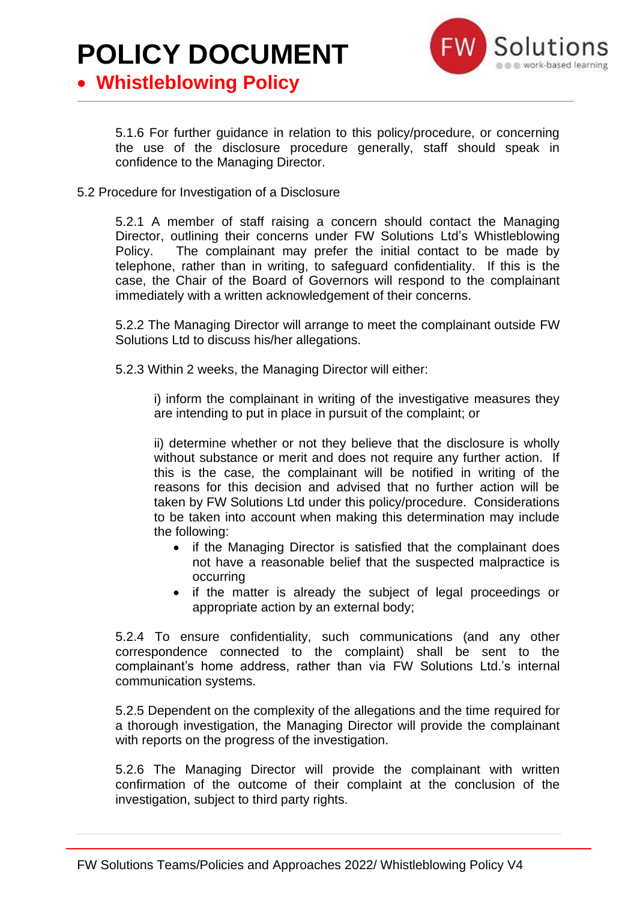

• **Whistleblowing Policy**

5.1.6 For further guidance in relation to this policy/procedure, or concerning the use of the disclosure procedure generally, staff should speak in confidence to the Managing Director.

5.2 Procedure for Investigation of a Disclosure

5.2.1 A member of staff raising a concern should contact the Managing Director, outlining their concerns under FW Solutions Ltd's Whistleblowing Policy. The complainant may prefer the initial contact to be made by telephone, rather than in writing, to safeguard confidentiality. If this is the case, the Chair of the Board of Governors will respond to the complainant immediately with a written acknowledgement of their concerns.

5.2.2 The Managing Director will arrange to meet the complainant outside FW Solutions Ltd to discuss his/her allegations.

5.2.3 Within 2 weeks, the Managing Director will either:

i) inform the complainant in writing of the investigative measures they are intending to put in place in pursuit of the complaint; or

ii) determine whether or not they believe that the disclosure is wholly without substance or merit and does not require any further action. If this is the case, the complainant will be notified in writing of the reasons for this decision and advised that no further action will be taken by FW Solutions Ltd under this policy/procedure. Considerations to be taken into account when making this determination may include the following:

- if the Managing Director is satisfied that the complainant does not have a reasonable belief that the suspected malpractice is occurring
- if the matter is already the subject of legal proceedings or appropriate action by an external body;

5.2.4 To ensure confidentiality, such communications (and any other correspondence connected to the complaint) shall be sent to the complainant's home address, rather than via FW Solutions Ltd.'s internal communication systems.

5.2.5 Dependent on the complexity of the allegations and the time required for a thorough investigation, the Managing Director will provide the complainant with reports on the progress of the investigation.

5.2.6 The Managing Director will provide the complainant with written confirmation of the outcome of their complaint at the conclusion of the investigation, subject to third party rights.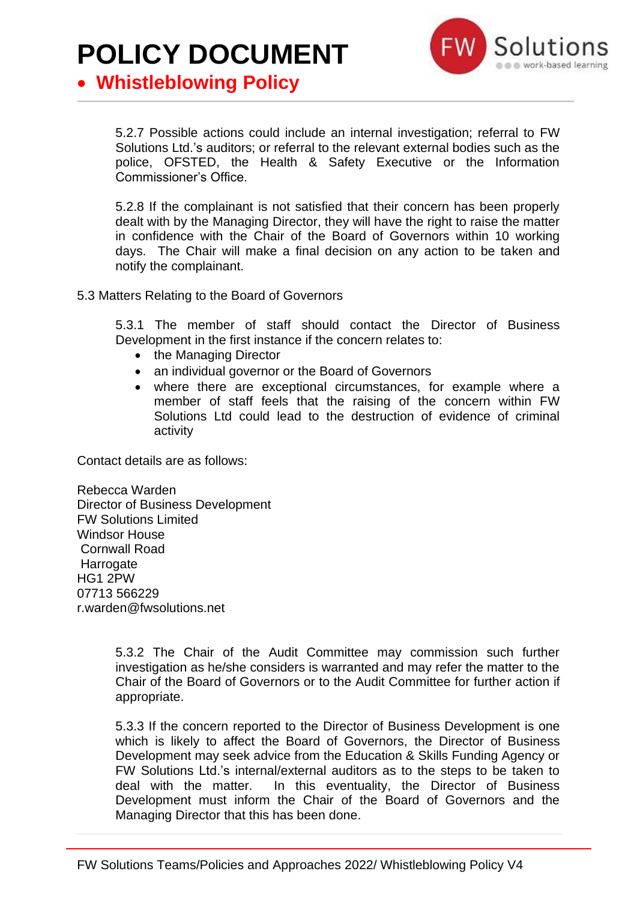

• **Whistleblowing Policy**

5.2.7 Possible actions could include an internal investigation; referral to FW Solutions Ltd.'s auditors; or referral to the relevant external bodies such as the police, OFSTED, the Health & Safety Executive or the Information Commissioner's Office.

5.2.8 If the complainant is not satisfied that their concern has been properly dealt with by the Managing Director, they will have the right to raise the matter in confidence with the Chair of the Board of Governors within 10 working days. The Chair will make a final decision on any action to be taken and notify the complainant.

5.3 Matters Relating to the Board of Governors

5.3.1 The member of staff should contact the Director of Business Development in the first instance if the concern relates to:

- the Managing Director
- an individual governor or the Board of Governors
- where there are exceptional circumstances, for example where a member of staff feels that the raising of the concern within FW Solutions Ltd could lead to the destruction of evidence of criminal activity

Contact details are as follows:

Rebecca Warden Director of Business Development FW Solutions Limited Windsor House Cornwall Road Harrogate HG1 2PW 07713 566229 r.warden@fwsolutions.net

> 5.3.2 The Chair of the Audit Committee may commission such further investigation as he/she considers is warranted and may refer the matter to the Chair of the Board of Governors or to the Audit Committee for further action if appropriate.

> 5.3.3 If the concern reported to the Director of Business Development is one which is likely to affect the Board of Governors, the Director of Business Development may seek advice from the Education & Skills Funding Agency or FW Solutions Ltd.'s internal/external auditors as to the steps to be taken to deal with the matter. In this eventuality, the Director of Business Development must inform the Chair of the Board of Governors and the Managing Director that this has been done.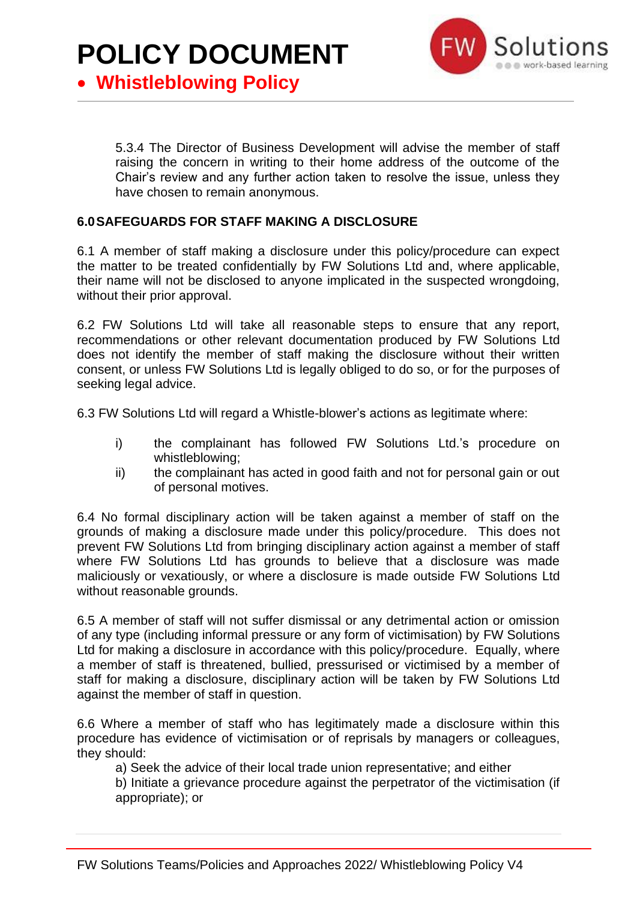

• **Whistleblowing Policy**

5.3.4 The Director of Business Development will advise the member of staff raising the concern in writing to their home address of the outcome of the Chair's review and any further action taken to resolve the issue, unless they have chosen to remain anonymous.

### **6.0SAFEGUARDS FOR STAFF MAKING A DISCLOSURE**

6.1 A member of staff making a disclosure under this policy/procedure can expect the matter to be treated confidentially by FW Solutions Ltd and, where applicable, their name will not be disclosed to anyone implicated in the suspected wrongdoing, without their prior approval.

6.2 FW Solutions Ltd will take all reasonable steps to ensure that any report, recommendations or other relevant documentation produced by FW Solutions Ltd does not identify the member of staff making the disclosure without their written consent, or unless FW Solutions Ltd is legally obliged to do so, or for the purposes of seeking legal advice.

6.3 FW Solutions Ltd will regard a Whistle-blower's actions as legitimate where:

- i) the complainant has followed FW Solutions Ltd.'s procedure on whistleblowing;
- ii) the complainant has acted in good faith and not for personal gain or out of personal motives.

6.4 No formal disciplinary action will be taken against a member of staff on the grounds of making a disclosure made under this policy/procedure. This does not prevent FW Solutions Ltd from bringing disciplinary action against a member of staff where FW Solutions Ltd has grounds to believe that a disclosure was made maliciously or vexatiously, or where a disclosure is made outside FW Solutions Ltd without reasonable grounds.

6.5 A member of staff will not suffer dismissal or any detrimental action or omission of any type (including informal pressure or any form of victimisation) by FW Solutions Ltd for making a disclosure in accordance with this policy/procedure. Equally, where a member of staff is threatened, bullied, pressurised or victimised by a member of staff for making a disclosure, disciplinary action will be taken by FW Solutions Ltd against the member of staff in question.

6.6 Where a member of staff who has legitimately made a disclosure within this procedure has evidence of victimisation or of reprisals by managers or colleagues, they should:

a) Seek the advice of their local trade union representative; and either

b) Initiate a grievance procedure against the perpetrator of the victimisation (if appropriate); or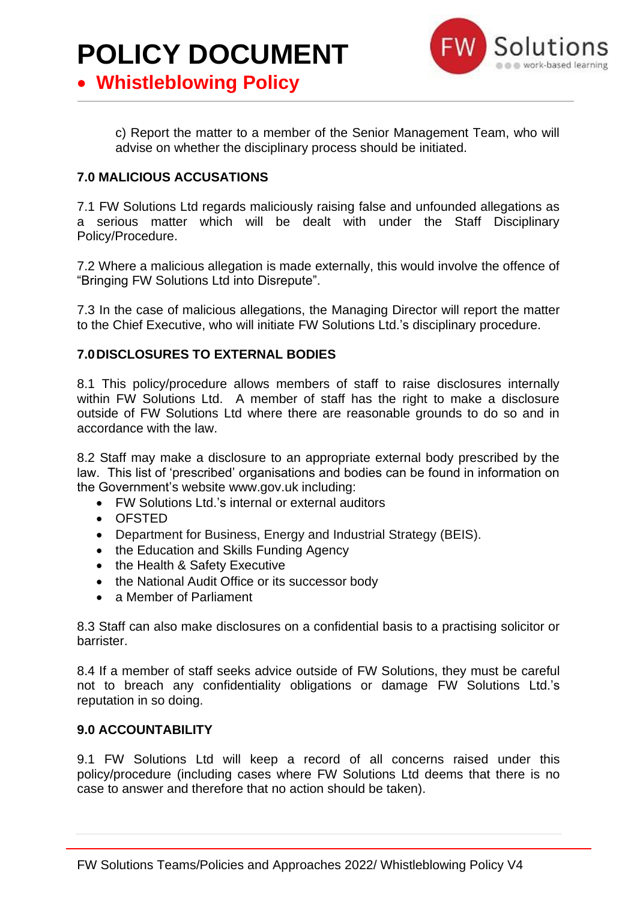

• **Whistleblowing Policy**

c) Report the matter to a member of the Senior Management Team, who will advise on whether the disciplinary process should be initiated.

### **7.0 MALICIOUS ACCUSATIONS**

7.1 FW Solutions Ltd regards maliciously raising false and unfounded allegations as a serious matter which will be dealt with under the Staff Disciplinary Policy/Procedure.

7.2 Where a malicious allegation is made externally, this would involve the offence of "Bringing FW Solutions Ltd into Disrepute".

7.3 In the case of malicious allegations, the Managing Director will report the matter to the Chief Executive, who will initiate FW Solutions Ltd.'s disciplinary procedure.

### **7.0DISCLOSURES TO EXTERNAL BODIES**

8.1 This policy/procedure allows members of staff to raise disclosures internally within FW Solutions Ltd. A member of staff has the right to make a disclosure outside of FW Solutions Ltd where there are reasonable grounds to do so and in accordance with the law.

8.2 Staff may make a disclosure to an appropriate external body prescribed by the law. This list of 'prescribed' organisations and bodies can be found in information on the Government's website www.gov.uk including:

- FW Solutions Ltd.'s internal or external auditors
- OFSTED
- Department for Business, Energy and Industrial Strategy (BEIS).
- the Education and Skills Funding Agency
- the Health & Safety Executive
- the National Audit Office or its successor body
- a Member of Parliament

8.3 Staff can also make disclosures on a confidential basis to a practising solicitor or barrister.

8.4 If a member of staff seeks advice outside of FW Solutions, they must be careful not to breach any confidentiality obligations or damage FW Solutions Ltd.'s reputation in so doing.

### **9.0 ACCOUNTABILITY**

9.1 FW Solutions Ltd will keep a record of all concerns raised under this policy/procedure (including cases where FW Solutions Ltd deems that there is no case to answer and therefore that no action should be taken).